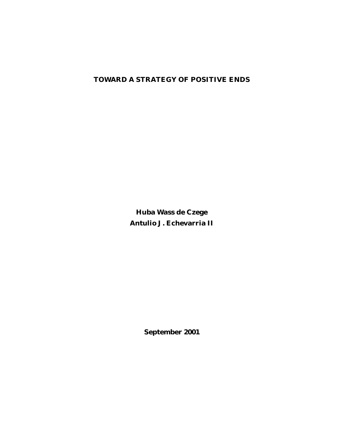# **TOWARD A STRATEGY OF POSITIVE ENDS**

**Huba Wass de Czege Antulio J. Echevarria II**

**September 2001**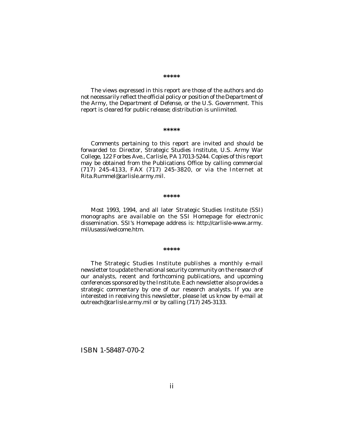#### **\*\*\*\*\***

The views expressed in this report are those of the authors and do not necessarily reflect the official policy or position of the Department of the Army, the Department of Defense, or the U.S. Government. This report is cleared for public release; distribution is unlimited.

#### **\*\*\*\*\***

Comments pertaining to this report are invited and should be forwarded to: Director, Strategic Studies Institute, U.S. Army War College, 122 Forbes Ave., Carlisle, PA 17013-5244. Copies of this report may be obtained from the Publications Office by calling commercial (717) 245-4133, FAX (717) 245-3820, or via the Internet at Rita.Rummel@carlisle.army.mil.

#### **\*\*\*\*\***

Most 1993, 1994, and all later Strategic Studies Institute (SSI) monographs are available on the SSI Homepage for electronic dissemination. SSI's Homepage address is: http://carlisle-www.army. mil/usassi/welcome.htm.

#### **\*\*\*\*\***

The Strategic Studies Institute publishes a monthly e-mail newsletter to update the national security community on the research of our analysts, recent and forthcoming publications, and upcoming conferences sponsored by the Institute. Each newsletter also provides a strategic commentary by one of our research analysts. If you are interested in receiving this newsletter, please let us know by e-mail at outreach@carlisle.army.mil or by calling (717) 245-3133.

ISBN 1-58487-070-2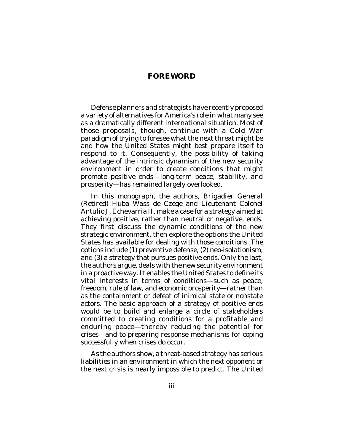# **FOREWORD**

Defense planners and strategists have recently proposed a variety of alternatives for America's role in what many see as a dramatically different international situation. Most of those proposals, though, continue with a Cold War paradigm of trying to foresee what the next threat might be and how the United States might best prepare itself to respond to it. Consequently, the possibility of taking advantage of the intrinsic dynamism of the new security environment in order to create conditions that might promote *positive* ends—long-term peace, stability, and prosperity—has remained largely overlooked.

In this monograph, the authors, Brigadier General (Retired) Huba Wass de Czege and Lieutenant Colonel Antulio J. Echevarria II, make a case for a strategy aimed at achieving positive, rather than neutral or negative, ends. They first discuss the dynamic conditions of the new strategic environment, then explore the options the United States has available for dealing with those conditions. The options include (1) preventive defense, (2) neo-isolationism, and (3) a strategy that pursues positive ends. Only the last, the authors argue, deals with the new security environment in a proactive way. It enables the United States to define its vital interests in terms of conditions—such as peace, freedom, rule of law, and economic prosperity—rather than as the containment or defeat of inimical state or nonstate actors. The basic approach of a strategy of positive ends would be to build and enlarge a circle of stakeholders committed to creating conditions for a profitable and enduring peace—thereby reducing the potential for crises—and to preparing response mechanisms for coping successfully when crises do occur.

As the authors show, a threat-based strategy has serious liabilities in an environment in which the next opponent or the next crisis is nearly impossible to predict. The United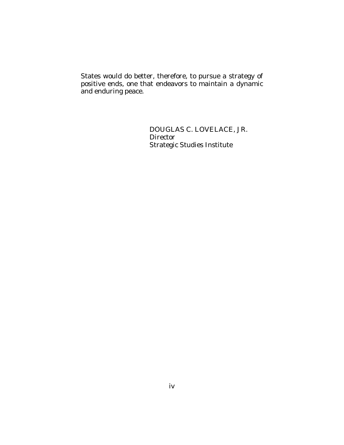States would do better, therefore, to pursue a strategy of positive ends, one that endeavors to maintain a dynamic and enduring peace.

> DOUGLAS C. LOVELACE, JR. **Director** Strategic Studies Institute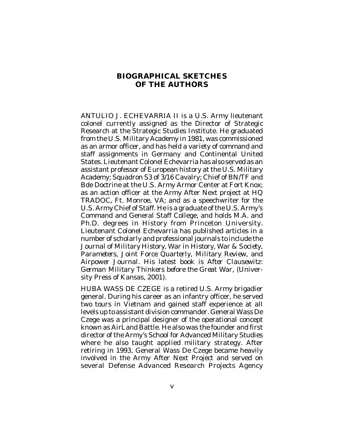# **BIOGRAPHICAL SKETCHES OF THE AUTHORS**

ANTULIO J. ECHEVARRIA II is a U.S. Army lieutenant colonel currently assigned as the Director of Strategic Research at the Strategic Studies Institute. He graduated from the U.S. Military Academy in 1981, was commissioned as an armor officer, and has held a variety of command and staff assignments in Germany and Continental United States. Lieutenant Colonel Echevarria has also served as an assistant professor of European history at the U.S. Military Academy; Squadron S3 of 3/16 Cavalry; Chief of BN/TF and Bde Doctrine at the U.S. Army Armor Center at Fort Knox; as an action officer at the Army After Next project at HQ TRADOC, Ft. Monroe, VA; and as a speechwriter for the U.S. Army Chief of Staff. He is a graduate of the U.S. Army's Command and General Staff College, and holds M.A. and Ph.D. degrees in History from Princeton University. Lieutenant Colonel Echevarria has published articles in a number of scholarly and professional journals to include the *Journal of Military History*, *War in History*, *War & Society*, *Parameters*, *Joint Force Quarterly*, *Military Review*, and *Airpower Journal*. His latest book is *After Clausewitz: German Military Thinkers before the Great War*, (University Press of Kansas, 2001).

HUBA WASS DE CZEGE is a retired U.S. Army brigadier general. During his career as an infantry officer, he served two tours in Vietnam and gained staff experience at all levels up to assistant division commander. General Wass De Czege was a principal designer of the operational concept known as AirLand Battle. He also was the founder and first director of the Army's School for Advanced Military Studies where he also taught applied military strategy. After retiring in 1993, General Wass De Czege became heavily involved in the Army After Next Project and served on several Defense Advanced Research Projects Agency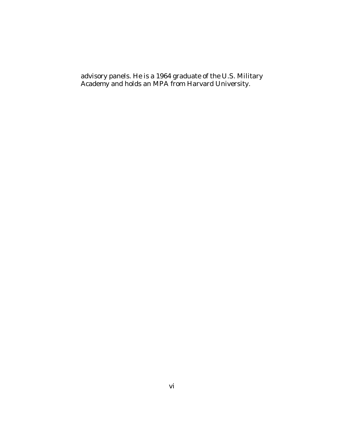advisory panels. He is a 1964 graduate of the U.S. Military Academy and holds an MPA from Harvard University.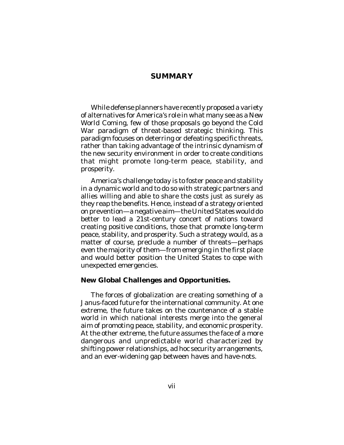# **SUMMARY**

While defense planners have recently proposed a variety of alternatives for America's role in what many see as a *New World Coming*, few of those proposals go beyond the Cold War paradigm of threat-based strategic thinking. This paradigm focuses on deterring or defeating specific threats, rather than taking advantage of the intrinsic dynamism of the new security environment in order to create conditions that might promote long-term peace, stability, and prosperity.

America's challenge today is to foster peace and stability in a dynamic world and to do so with strategic partners and allies willing and able to share the costs just as surely as they reap the benefits. Hence, instead of a strategy oriented on prevention—a negative aim—the United States would do better to lead a 21st-century concert of nations toward creating *positive* conditions, those that promote long-term peace, stability, and prosperity. Such a strategy would, as a matter of course, preclude a number of threats—perhaps even the majority of them—from emerging in the first place and would better position the United States to cope with unexpected emergencies.

### **New Global Challenges and Opportunities.**

The forces of globalization are creating something of a Janus-faced future for the international community. At one extreme, the future takes on the countenance of a stable world in which national interests merge into the general aim of promoting peace, stability, and economic prosperity. At the other extreme, the future assumes the face of a more dangerous and unpredictable world characterized by shifting power relationships, ad hoc security arrangements, and an ever-widening gap between haves and have-nots.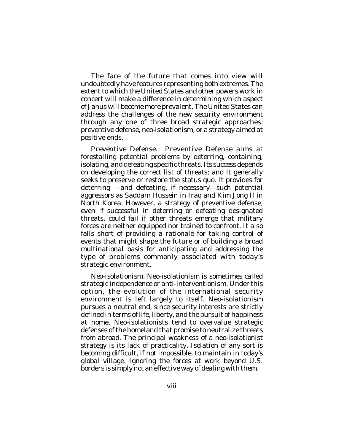The face of the future that comes into view will undoubtedly have features representing both extremes. The extent to which the United States and other powers work in concert will make a difference in determining which aspect of Janus will become more prevalent. The United States can address the challenges of the new security environment through any one of three broad strategic approaches: preventive defense, neo-isolationism, or a strategy aimed at positive ends.

*Preventive Defense*. Preventive Defense aims at forestalling potential problems by deterring, containing, isolating, and defeating specific threats. Its success depends on developing the correct list of threats; and it generally seeks to preserve or restore the status quo. It provides for deterring —and defeating, if necessary—such potential aggressors as Saddam Hussein in Iraq and Kim Jong Il in North Korea. However, a strategy of preventive defense, even if successful in deterring or defeating designated threats, could fail if other threats emerge that military forces are neither equipped nor trained to confront. It also falls short of providing a rationale for taking control of events that might shape the future or of building a broad multinational basis for anticipating and addressing the type of problems commonly associated with today's strategic environment.

*Neo-isolationism*. Neo-isolationism is sometimes called strategic independence or anti-interventionism. Under this option, the evolution of the international security environment is left largely to itself. Neo-isolationism pursues a neutral end, since security interests are strictly defined in terms of life, liberty, and the pursuit of happiness at home. Neo-isolationists tend to overvalue strategic defenses of the homeland that promise to neutralize threats from abroad. The principal weakness of a neo-isolationist strategy is its lack of practicality. Isolation of any sort is becoming difficult, if not impossible, to maintain in today's global village. Ignoring the forces at work beyond U.S. borders is simply not an effective way of dealing with them.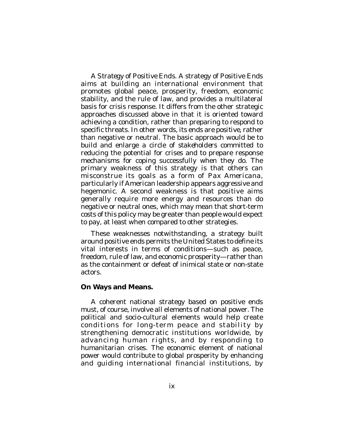*A Strategy of Positive Ends*. A strategy of Positive Ends aims at building an international environment that promotes global peace, prosperity, freedom, economic stability, and the rule of law, and provides a multilateral basis for crisis response. It differs from the other strategic approaches discussed above in that it is oriented toward achieving a condition, rather than preparing to respond to specific threats. In other words, its ends are *positive*, rather than negative or neutral. The basic approach would be to build and enlarge a circle of *stakeholders* committed to reducing the potential for crises and to prepare response mechanisms for coping successfully when they do. The primary weakness of this strategy is that others can misconstrue its goals as a form of *Pax Americana*, particularly if American leadership appears aggressive and hegemonic. A second weakness is that positive aims generally require more energy and resources than do negative or neutral ones, which may mean that short-term costs of this policy may be greater than people would expect to pay, at least when compared to other strategies.

These weaknesses notwithstanding, a strategy built around positive ends permits the United States to define its vital interests in terms of conditions—such as peace, freedom, rule of law, and economic prosperity—rather than as the containment or defeat of inimical state or non-state actors.

### **On Ways and Means.**

A coherent national strategy based on positive ends must, of course, involve all elements of national power. The political and socio-cultural elements would help create conditions for long-term peace and stability by strengthening democratic institutions worldwide, by advancing human rights, and by responding to humanitarian crises. The economic element of national power would contribute to global prosperity by enhancing and guiding international financial institutions, by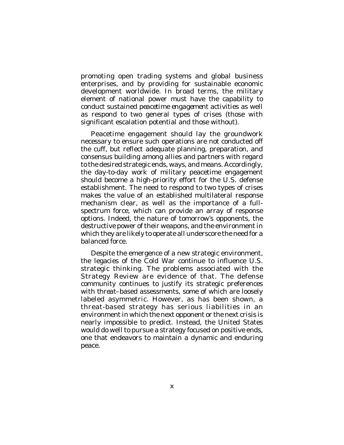promoting open trading systems and global business enterprises, and by providing for sustainable economic development worldwide. In broad terms, the military element of national power must have the capability to conduct sustained *peacetime engagement* activities as well as respond to two general types of crises (those with significant escalation potential and those without).

Peacetime engagement should lay the groundwork necessary to ensure such operations are not conducted off the cuff, but reflect adequate planning, preparation, and consensus building among allies and partners with regard to the desired strategic ends, ways, and means. Accordingly, the day-to-day work of military peacetime engagement should become a high-priority effort for the U.S. defense establishment. The need to respond to two types of crises makes the value of an established multilateral response mechanism clear, as well as the importance of a fullspectrum force, which can provide an array of response options. Indeed, the nature of tomorrow's opponents, the destructive power of their weapons, and the environment in which they are likely to operate all underscore the need for a balanced force.

Despite the emergence of a new strategic environment, the legacies of the Cold War continue to influence U.S. strategic thinking. The problems associated with the Strategy Review are evidence of that. The defense community continues to justify its strategic preferences with *threat*–based assessments, some of which are loosely labeled asymmetric. However, as has been shown, a threat-based strategy has serious liabilities in an environment in which the next opponent or the next crisis is nearly impossible to predict. Instead, the United States would do well to pursue a strategy focused on positive ends, one that endeavors to maintain a dynamic and enduring peace.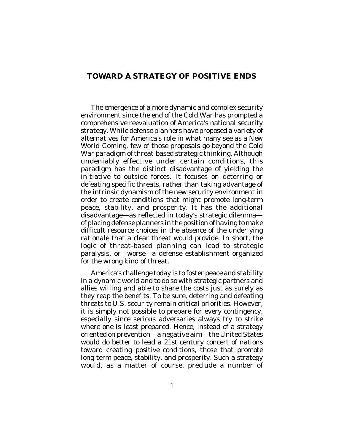# **TOWARD A STRATEGY OF POSITIVE ENDS**

The emergence of a more dynamic and complex security environment since the end of the Cold War has prompted a comprehensive reevaluation of America's national security strategy. While defense planners have proposed a variety of alternatives for America's role in what many see as a *New World Coming*, few of those proposals go beyond the Cold War paradigm of threat-based strategic thinking. Although undeniably effective under certain conditions, this paradigm has the distinct disadvantage of yielding the initiative to outside forces. It focuses on deterring or defeating specific threats, rather than taking advantage of the intrinsic dynamism of the new security environment in order to create conditions that might promote long-term peace, stability, and prosperity. It has the additional disadvantage—as reflected in today's strategic dilemma of placing defense planners in the position of having to make difficult resource choices in the absence of the underlying rationale that a clear threat would provide. In short, the logic of threat-based planning can lead to strategic paralysis, or—worse—a defense establishment organized for the wrong kind of threat.

America's challenge today is to foster peace and stability in a dynamic world and to do so with strategic partners and allies willing and able to share the costs just as surely as they reap the benefits. To be sure, deterring and defeating threats to U.S. security remain critical priorities. However, it is simply not possible to prepare for every contingency, especially since serious adversaries always try to strike where one is least prepared. Hence, instead of a strategy oriented on prevention—a negative aim—the United States would do better to lead a 21st century concert of nations toward creating *positive* conditions, those that promote long-term peace, stability, and prosperity. Such a strategy would, as a matter of course, preclude a number of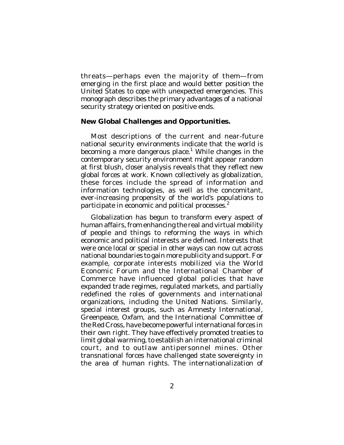threats—perhaps even the majority of them—from emerging in the first place and would better position the United States to cope with unexpected emergencies. This monograph describes the primary advantages of a national security strategy oriented on positive ends.

### **New Global Challenges and Opportunities.**

Most descriptions of the current and near-future national security environments indicate that the world is becoming a more dangerous place.<sup>1</sup> While changes in the contemporary security environment might appear random at first blush, closer analysis reveals that they reflect new global forces at work. Known collectively as globalization, these forces include the spread of information and information technologies, as well as the concomitant, ever-increasing propensity of the world's populations to participate in economic and political processes.<sup>2</sup>

Globalization has begun to transform every aspect of human affairs, from enhancing the real and virtual mobility of people and things to reforming the ways in which economic and political interests are defined. Interests that were once local or special in other ways can now cut across national boundaries to gain more publicity and support. For example, corporate interests mobilized via the World Economic Forum and the International Chamber of Commerce have influenced global policies that have expanded trade regimes, regulated markets, and partially redefined the roles of governments and international organizations, including the United Nations. Similarly, special interest groups, such as Amnesty International, Greenpeace, Oxfam, and the International Committee of the Red Cross, have become powerful international forces in their own right. They have effectively promoted treaties to limit global warming, to establish an international criminal court, and to outlaw antipersonnel mines. Other transnational forces have challenged state sovereignty in the area of human rights. The internationalization of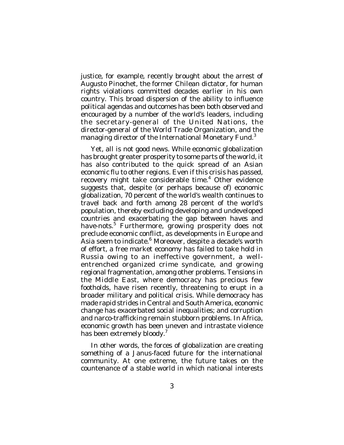justice, for example, recently brought about the arrest of Augusto Pinochet, the former Chilean dictator, for human rights violations committed decades earlier in his own country. This broad dispersion of the ability to influence political agendas and outcomes has been both observed and encouraged by a number of the world's leaders, including the secretary-general of the United Nations, the director-general of the World Trade Organization, and the managing director of the International Monetary Fund.<sup>3</sup>

Yet, all is not good news. While economic globalization has brought greater prosperity to some parts of the world, it has also contributed to the quick spread of an Asian economic flu to other regions. Even if this crisis has passed, recovery might take considerable time.<sup>4</sup> Other evidence suggests that, despite (or perhaps because of) economic globalization, 70 percent of the world's wealth continues to travel back and forth among 28 percent of the world's population, thereby excluding developing and undeveloped countries and exacerbating the gap between *haves* and *have-nots*. 5 Furthermore, growing prosperity does not preclude economic conflict, as developments in Europe and .<br>Asia seem to indicate.<sup>6</sup> Moreover, despite a decade's worth of effort, a free market economy has failed to take hold in Russia owing to an ineffective government, a wellentrenched organized crime syndicate, and growing regional fragmentation, among other problems. Tensions in the Middle East, where democracy has precious few footholds, have risen recently, threatening to erupt in a broader military and political crisis. While democracy has made rapid strides in Central and South America, economic change has exacerbated social inequalities; and corruption and narco-trafficking remain stubborn problems. In Africa, economic growth has been uneven and intrastate violence has been extremely bloody.<sup>7</sup>

In other words, the forces of globalization are creating something of a Janus-faced future for the international community. At one extreme, the future takes on the countenance of a stable world in which national interests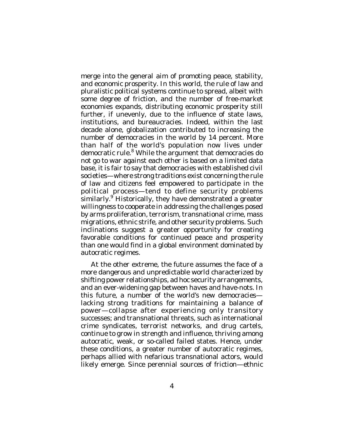merge into the general aim of promoting peace, stability, and economic prosperity. In this world, the rule of law and pluralistic political systems continue to spread, albeit with some degree of friction, and the number of free-market economies expands, distributing economic prosperity still further, if unevenly, due to the influence of state laws, institutions, and bureaucracies. Indeed, within the last decade alone, globalization contributed to increasing the number of democracies in the world by 14 percent. More than half of the world's population now lives under democratic rule.<sup>8</sup> While the argument that democracies do not go to war against each other is based on a limited data base, it is fair to say that democracies with established civil societies—where strong traditions exist concerning the rule of law and citizens feel empowered to participate in the political process—tend to define security problems similarly.<sup>9</sup> Historically, they have demonstrated a greater willingness to cooperate in addressing the challenges posed by arms proliferation, terrorism, transnational crime, mass migrations, ethnic strife, and other security problems. Such inclinations suggest a greater opportunity for creating favorable conditions for continued peace and prosperity than one would find in a global environment dominated by autocratic regimes.

At the other extreme, the future assumes the face of a more dangerous and unpredictable world characterized by shifting power relationships, ad hoc security arrangements, and an ever-widening gap between haves and have-nots. In this future, a number of the world's new democracies lacking strong traditions for maintaining a balance of power—collapse after experiencing only transitory successes; and transnational threats, such as international crime syndicates, terrorist networks, and drug cartels, continue to grow in strength and influence, thriving among autocratic, weak, or so-called failed states. Hence, under these conditions, a greater number of autocratic regimes, perhaps allied with nefarious transnational actors, would likely emerge. Since perennial sources of friction—ethnic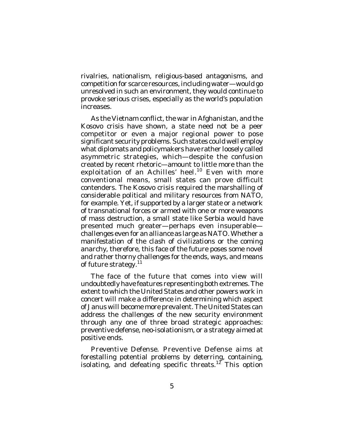rivalries, nationalism, religious-based antagonisms, and competition for scarce resources, including water—would go unresolved in such an environment, they would continue to provoke serious crises, especially as the world's population increases.

As the Vietnam conflict, the war in Afghanistan, and the Kosovo crisis have shown, a state need not be a peer competitor or even a major regional power to pose significant security problems. Such states could well employ what diplomats and policymakers have rather loosely called asymmetric strategies, which—despite the confusion created by recent rhetoric—amount to little more than the exploitation of an Achilles' heel. 10 Even with more conventional means, small states can prove difficult contenders. The Kosovo crisis required the marshalling of considerable political and military resources from NATO, for example. Yet, if supported by a larger state or a network of transnational forces or armed with one or more weapons of mass destruction, a small state like Serbia would have presented much greater—perhaps even insuperable challenges even for an alliance as large as NATO. Whether a manifestation of the *clash of civilizations* or the *coming anarchy*, therefore, this face of the future poses some novel and rather thorny challenges for the ends, ways, and means of future strategy.<sup>11</sup>

The face of the future that comes into view will undoubtedly have features representing both extremes. The extent to which the United States and other powers work in concert will make a difference in determining which aspect of Janus will become more prevalent. The United States can address the challenges of the new security environment through any one of three broad strategic approaches: preventive defense, neo-isolationism, or a strategy aimed at positive ends.

*Preventive Defense*. Preventive Defense aims at forestalling potential problems by deterring, containing, isolating, and defeating specific threats.<sup>12</sup> This option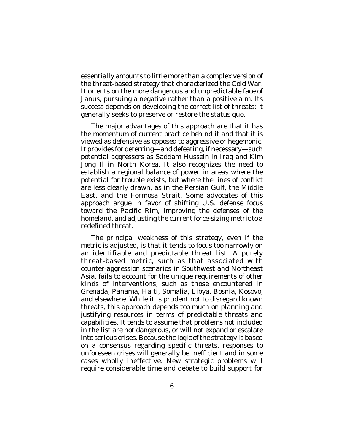essentially amounts to little more than a complex version of the threat-based strategy that characterized the Cold War. It orients on the more dangerous and unpredictable face of Janus, pursuing a negative rather than a positive aim. Its success depends on developing the *correct* list of threats; it generally seeks to preserve or restore the status quo.

The major advantages of this approach are that it has the momentum of current practice behind it and that it is viewed as defensive as opposed to aggressive or hegemonic. It provides for deterring—and defeating, if necessary—such potential aggressors as Saddam Hussein in Iraq and Kim Jong Il in North Korea. It also recognizes the need to establish a regional balance of power in areas where the potential for trouble exists, but where the lines of conflict are less clearly drawn, as in the Persian Gulf, the Middle East, and the Formosa Strait. Some advocates of this approach argue in favor of shifting U.S. defense focus toward the Pacific Rim, improving the defenses of the homeland, and adjusting the current force-sizing metric to a redefined threat.

The principal weakness of this strategy, even if the metric is adjusted, is that it tends to focus too narrowly on an identifiable and predictable threat list. A purely threat-based metric, such as that associated with counter-aggression scenarios in Southwest and Northeast Asia, fails to account for the unique requirements of other kinds of interventions, such as those encountered in Grenada, Panama, Haiti, Somalia, Libya, Bosnia, Kosovo, and elsewhere. While it is prudent not to disregard known threats, this approach depends too much on planning and justifying resources in terms of predictable threats and capabilities. It tends to assume that problems not included in the list are not dangerous, or will not expand or escalate into serious crises. Because the logic of the strategy is based on a consensus regarding specific threats, responses to unforeseen crises will generally be inefficient and in some cases wholly ineffective. New strategic problems will require considerable time and debate to build support for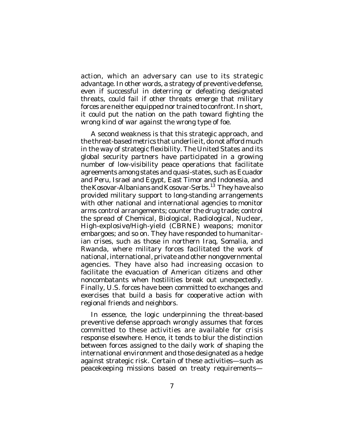action, which an adversary can use to its strategic advantage. In other words, a strategy of preventive defense, even if successful in deterring or defeating designated threats, could fail if other threats emerge that military forces are neither equipped nor trained to confront. In short, it could put the nation on the path toward fighting the wrong kind of war against the wrong type of foe.

A second weakness is that this strategic approach, and the threat-based metrics that underlie it, do not afford much in the way of strategic flexibility. The United States and its global security partners have participated in a growing number of low-visibility peace operations that facilitate agreements among states and quasi-states, such as Ecuador and Peru, Israel and Egypt, East Timor and Indonesia, and the Kosovar-Albanians and Kosovar-Serbs. 13 They have also provided military support to long-standing arrangements with other national and international agencies to monitor arms control arrangements; counter the drug trade; control the spread of Chemical, Biological, Radiological, Nuclear, High-explosive/High-yield (CBRNE) weapons; monitor embargoes; and so on. They have responded to humanitarian crises, such as those in northern Iraq, Somalia, and Rwanda, where military forces facilitated the work of national, international, private and other nongovernmental agencies. They have also had increasing occasion to facilitate the evacuation of American citizens and other noncombatants when hostilities break out unexpectedly. Finally, U.S. forces have been committed to exchanges and exercises that build a basis for cooperative action with regional friends and neighbors.

In essence, the logic underpinning the threat-based preventive defense approach wrongly assumes that forces committed to these activities are available for crisis response elsewhere. Hence, it tends to blur the distinction between forces assigned to the daily work of shaping the international environment and those designated as a hedge against strategic risk. Certain of these activities—such as peacekeeping missions based on treaty requirements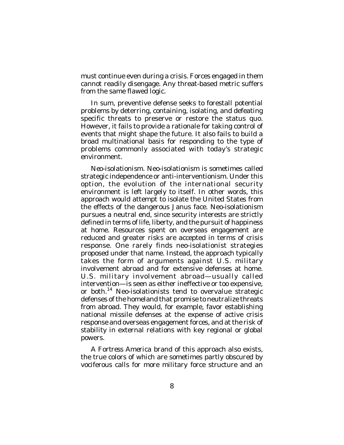must continue even during a crisis. Forces engaged in them cannot readily disengage. Any threat-based metric suffers from the same flawed logic.

In sum, preventive defense seeks to forestall potential problems by deterring, containing, isolating, and defeating specific threats to preserve or restore the status quo. However, it fails to provide a rationale for taking control of events that might shape the future. It also fails to build a broad multinational basis for responding to the type of problems commonly associated with today's strategic environment.

*Neo-isolationism*. Neo-isolationism is sometimes called strategic independence or anti-interventionism. Under this option, the evolution of the international security environment is left largely to itself. In other words, this approach would attempt to isolate the United States from the effects of the dangerous Janus face. Neo-isolationism pursues a neutral end, since security interests are strictly defined in terms of life, liberty, and the pursuit of happiness at home. Resources spent on overseas engagement are reduced and greater risks are accepted in terms of crisis response. One rarely finds neo-isolationist strategies proposed under that name. Instead, the approach typically takes the form of arguments against U.S. military involvement abroad and for extensive defenses at home. U.S. military involvement abroad—usually called intervention—is seen as either ineffective or too expensive, or both. 14 Neo-isolationists tend to overvalue strategic defenses of the homeland that promise to neutralize threats from abroad. They would, for example, favor establishing national missile defenses at the expense of active crisis response and overseas engagement forces, and at the risk of stability in external relations with key regional or global powers.

*A Fortress America* brand of this approach also exists, the true colors of which are sometimes partly obscured by vociferous calls for more military force structure and an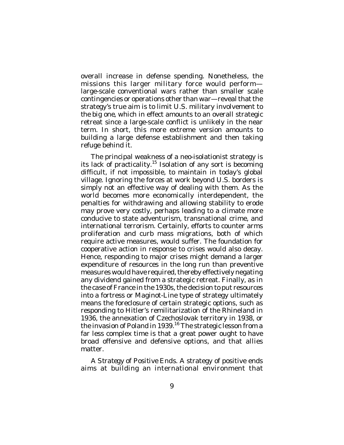overall increase in defense spending. Nonetheless, the missions this larger military force would perform large-scale conventional wars rather than smaller scale contingencies or operations other than war—reveal that the strategy's true aim is to limit U.S. military involvement to *the big one*, which in effect amounts to an overall strategic retreat since a large-scale conflict is unlikely in the near term. In short, this more extreme version amounts to building a large defense establishment and then taking refuge behind it.

The principal weakness of a neo-isolationist strategy is its lack of practicality.<sup>15</sup> Isolation of any sort is becoming difficult, if not impossible, to maintain in today's global village. Ignoring the forces at work beyond U.S. borders is simply not an effective way of dealing with them. As the world becomes more economically interdependent, the penalties for withdrawing and allowing stability to erode may prove very costly, perhaps leading to a climate more conducive to state adventurism, transnational crime, and international terrorism. Certainly, efforts to counter arms proliferation and curb mass migrations, both of which require active measures, would suffer. The foundation for cooperative action in response to crises would also decay. Hence, responding to major crises might demand a larger expenditure of resources in the long run than preventive measures would have required, thereby effectively negating any dividend gained from a strategic retreat. Finally, as in the case of France in the 1930s, the decision to put resources into a fortress or Maginot-Line type of strategy ultimately means the foreclosure of certain strategic options, such as responding to Hitler's remilitarization of the Rhineland in 1936, the annexation of Czechoslovak territory in 1938, or the invasion of Poland in 1939.<sup>16</sup> The strategic lesson from a far less complex time is that a great power ought to have broad offensive and defensive options, and that allies matter.

*A Strategy of Positive Ends*. A strategy of positive ends aims at building an international environment that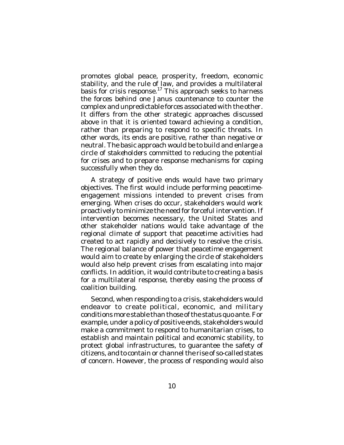promotes global peace, prosperity, freedom, economic stability, and the rule of law, and provides a multilateral basis for crisis response.<sup>17</sup> This approach seeks to harness the forces behind one Janus countenance to counter the complex and unpredictable forces associated with the other. It differs from the other strategic approaches discussed above in that it is oriented toward achieving a condition, rather than preparing to respond to specific threats. In other words, its ends are positive, rather than negative or neutral. The basic approach would be to build and enlarge a circle of *stakeholders* committed to reducing the potential for crises and to prepare response mechanisms for coping successfully when they do.

A strategy of positive ends would have two primary objectives. The first would include performing peacetimeengagement missions intended to prevent crises from emerging. When crises do occur, stakeholders would work proactively to minimize the need for forceful intervention. If intervention becomes necessary, the United States and other stakeholder nations would take advantage of the regional climate of support that peacetime activities had created to act rapidly and decisively to resolve the crisis. The regional balance of power that peacetime engagement would aim to create by enlarging the circle of stakeholders would also help prevent crises from escalating into major conflicts. In addition, it would contribute to creating a basis for a multilateral response, thereby easing the process of coalition building.

Second, when responding to a crisis, stakeholders would endeavor to create political, economic, and military conditions more stable than those of the status quo ante. For example, under a policy of positive ends, stakeholders would make a commitment to respond to humanitarian crises, to establish and maintain political and economic stability, to protect global infrastructures, to guarantee the safety of citizens, and to contain or channel the rise of so-called states of concern. However, the process of responding would also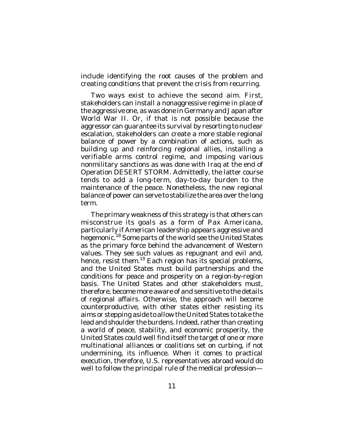include identifying the root causes of the problem and creating conditions that prevent the crisis from recurring.

Two ways exist to achieve the second aim. First, stakeholders can install a nonaggressive regime in place of the aggressive one, as was done in Germany and Japan after World War II. Or, if that is not possible because the aggressor can guarantee its survival by resorting to nuclear escalation, stakeholders can create a more stable regional balance of power by a combination of actions, such as building up and reinforcing regional allies, installing a verifiable arms control regime, and imposing various nonmilitary sanctions as was done with Iraq at the end of Operation DESERT STORM. Admittedly, the latter course tends to add a long-term, day-to-day burden to the maintenance of the peace. Nonetheless, the new regional balance of power can serve to stabilize the area over the long term.

The primary weakness of this strategy is that others can misconstrue its goals as a form of Pax Americana, particularly if American leadership appears aggressive and .<br>hegemonic.<sup>18</sup> Some parts of the world see the United States as the primary force behind the advancement of Western values. They see such values as repugnant and evil and, hence, resist them.<sup>19</sup> Each region has its special problems, and the United States must build partnerships and the conditions for peace and prosperity on a region-by-region basis. The United States and other stakeholders must, therefore, become more aware of and sensitive to the details of regional affairs. Otherwise, the approach will become counterproductive, with other states either resisting its aims or stepping aside to allow the United States to take the lead and shoulder the burdens. Indeed, rather than creating a world of peace, stability, and economic prosperity, the United States could well find itself the target of one or more multinational alliances or coalitions set on curbing, if not undermining, its influence. When it comes to practical execution, therefore, U.S. representatives abroad would do well to follow the principal rule of the medical profession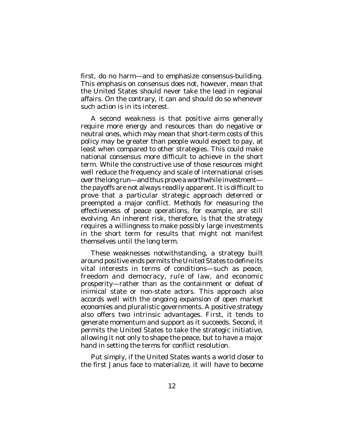first, do no harm—and to emphasize consensus-building. This emphasis on consensus does not, however, mean that the United States should never take the lead in regional affairs. On the contrary, it can and should do so whenever such action is in its interest.

A second weakness is that positive aims generally require more energy and resources than do negative or neutral ones, which may mean that short-term costs of this policy may be greater than people would expect to pay, at least when compared to other strategies. This could make national consensus more difficult to achieve in the short term. While the constructive use of those resources might well reduce the frequency and scale of international crises over the long run—and thus prove a worthwhile investment the payoffs are not always readily apparent. It is difficult to prove that a particular strategic approach deterred or preempted a major conflict. Methods for measuring the effectiveness of peace operations, for example, are still evolving. An inherent risk, therefore, is that the strategy requires a willingness to make possibly large investments in the short term for results that might not manifest themselves until the long term.

These weaknesses notwithstanding, a strategy built around positive ends permits the United States to define its vital interests in terms of conditions—such as peace, freedom and democracy, rule of law, and economic prosperity—rather than as the containment or defeat of inimical state or non-state actors. This approach also accords well with the ongoing expansion of open market economies and pluralistic governments. A positive strategy also offers two intrinsic advantages. First, it tends to generate momentum and support as it succeeds. Second, it permits the United States to take the strategic initiative, allowing it not only to shape the peace, but to have a major hand in setting the terms for conflict resolution.

Put simply, if the United States wants a world closer to the first Janus face to materialize, it will have to become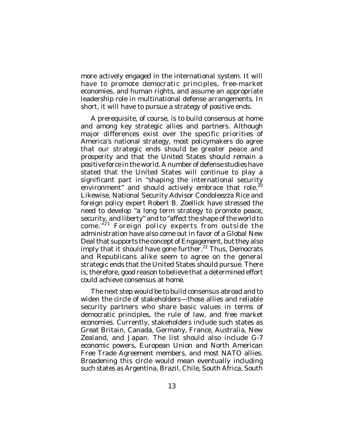more actively engaged in the international system. It will have to promote democratic principles, free-market economies, and human rights, and assume an appropriate leadership role in multinational defense arrangements. In short, it will have to pursue a strategy of positive ends.

A prerequisite, of course, is to build consensus at home and among key strategic allies and partners. Although major differences exist over the specific priorities of America's national strategy, most policymakers do agree that our strategic ends should be greater peace and prosperity and that the United States should remain a positive force in the world. A number of defense studies have stated that the United States will continue to play a significant part in "shaping the international security environment" and should actively embrace that role.<sup>20</sup> Likewise, National Security Advisor Condoleezza Rice and foreign policy expert Robert B. Zoellick have stressed the need to develop "a long term strategy to promote peace, security, and liberty" and to "affect the shape of the world to come."<sup>21</sup> Foreign policy experts from outside the administration have also come out in favor of a Global New Deal that supports the concept of Engagement, but they also imply that it should have gone further.<sup>22</sup> Thus, Democrats and Republicans alike seem to agree on the general strategic ends that the United States should pursue. There is, therefore, good reason to believe that a determined effort could achieve consensus at home.

The next step would be to build consensus abroad and to widen the circle of stakeholders—those allies and reliable security partners who share basic values in terms of democratic principles, the rule of law, and free market economies. Currently, stakeholders include such states as Great Britain, Canada, Germany, France, Australia, New Zealand, and Japan. The list should also include G-7 economic powers, European Union and North American Free Trade Agreement members, and most NATO allies. Broadening this circle would mean eventually including such states as Argentina, Brazil, Chile, South Africa, South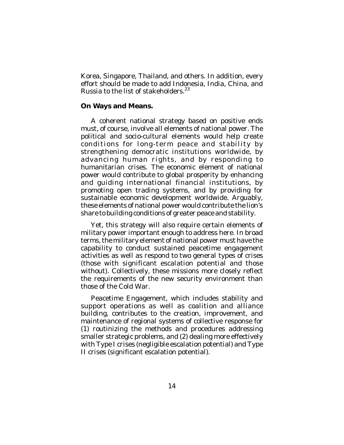Korea, Singapore, Thailand, and others. In addition, every effort should be made to add Indonesia, India, China, and Russia to the list of stakeholders.<sup>23</sup>

## **On Ways and Means.**

A coherent national strategy based on positive ends must, of course, involve all elements of national power. The political and socio-cultural elements would help create conditions for long-term peace and stability by strengthening democratic institutions worldwide, by advancing human rights, and by responding to humanitarian crises. The economic element of national power would contribute to global prosperity by enhancing and guiding international financial institutions, by promoting open trading systems, and by providing for sustainable economic development worldwide. Arguably, these elements of national power would contribute the lion's share to building conditions of greater peace and stability.

Yet, this strategy will also require certain elements of military power important enough to address here. In broad terms, the military element of national power must have the capability to conduct sustained peacetime engagement activities as well as respond to two general types of crises (those with significant escalation potential and those without). Collectively, these missions more closely reflect the requirements of the new security environment than those of the Cold War.

Peacetime Engagement, which includes stability and support operations as well as coalition and alliance building, contributes to the creation, improvement, and maintenance of regional systems of collective response for (1) routinizing the methods and procedures addressing smaller strategic problems, and (2) dealing more effectively with Type I crises (negligible escalation potential) and Type II crises (significant escalation potential).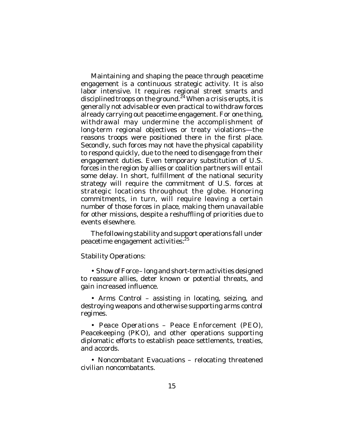Maintaining and shaping the peace through peacetime engagement is a continuous strategic activity. It is also labor intensive. It requires regional street smarts and disciplined troops on the ground.<sup>24</sup> When a crisis erupts, it is generally not advisable or even practical to withdraw forces already carrying out peacetime engagement. For one thing, withdrawal may undermine the accomplishment of long-term regional objectives or treaty violations—the reasons troops were positioned there in the first place. Secondly, such forces may not have the physical capability to respond quickly, due to the need to disengage from their engagement duties. Even temporary substitution of U.S. forces in the region by allies or coalition partners will entail some delay. In short, fulfillment of the national security strategy will require the commitment of U.S. forces at strategic locations throughout the globe. Honoring commitments, in turn, will require leaving a certain number of those forces in place, making them unavailable for other missions, despite a reshuffling of priorities due to events elsewhere.

The following stability and support operations fall under peacetime engagement activities:<sup>25</sup>

## *Stability Operations:*

• *Show of Force* – long and short-term activities designed to reassure allies, deter known or potential threats, and gain increased influence.

• *Arms Control* – assisting in locating, seizing, and destroying weapons and otherwise supporting arms control regimes.

• *Peace Operations* – Peace Enforcement (PEO), Peacekeeping (PKO), and other operations supporting diplomatic efforts to establish peace settlements, treaties, and accords.

• *Noncombatant Evacuations* – relocating threatened civilian noncombatants.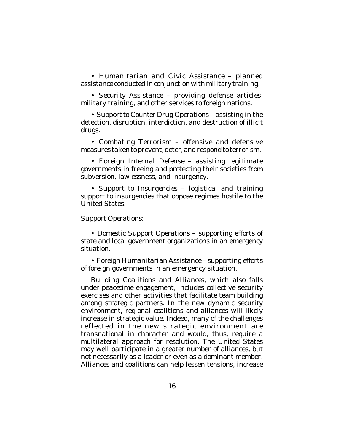• *Humanitarian and Civic Assistance* – planned assistance conducted in conjunction with military training.

• *Security Assistance* – providing defense articles, military training, and other services to foreign nations.

• *Support to Counter Drug Operations* – assisting in the detection, disruption, interdiction, and destruction of illicit drugs.

• *Combating Terrorism* – offensive and defensive measures taken to prevent, deter, and respond to terrorism.

• *Foreign Internal Defense* – assisting legitimate governments in freeing and protecting their societies from subversion, lawlessness, and insurgency.

• *Support to Insurgencies* – logistical and training support to insurgencies that oppose regimes hostile to the United States.

### *Support Operations:*

• *Domestic Support Opera*tions – supporting efforts of state and local government organizations in an emergency situation.

• *Foreign Humanitarian Assistance* – supporting efforts of foreign governments in an emergency situation.

*Building Coalitions and Alliances*, which also falls under peacetime engagement, includes collective security exercises and other activities that facilitate team building among strategic partners. In the new dynamic security environment, regional coalitions and alliances will likely increase in strategic value. Indeed, many of the challenges reflected in the new strategic environment are transnational in character and would, thus, require a multilateral approach for resolution. The United States may well participate in a greater number of alliances, but not necessarily as a leader or even as a dominant member. Alliances and coalitions can help lessen tensions, increase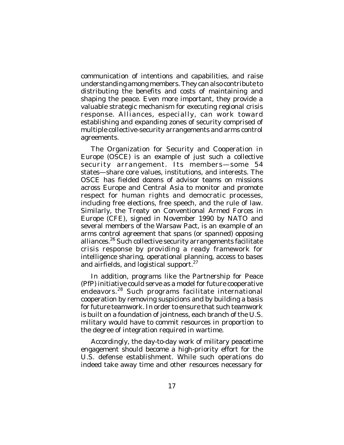communication of intentions and capabilities, and raise understanding among members. They can also contribute to distributing the benefits and costs of maintaining and shaping the peace. Even more important, they provide a valuable strategic mechanism for executing regional crisis response. Alliances, especially, can work toward establishing and expanding zones of security comprised of multiple collective-security arrangements and arms control agreements.

The Organization for Security and Cooperation in Europe (OSCE) is an example of just such a collective security arrangement. Its members—some 54 states—share core values, institutions, and interests. The OSCE has fielded dozens of advisor teams on missions across Europe and Central Asia to monitor and promote respect for human rights and democratic processes, including free elections, free speech, and the rule of law. Similarly, the Treaty on Conventional Armed Forces in Europe (CFE), signed in November 1990 by NATO and several members of the Warsaw Pact, is an example of an arms control agreement that spans (or spanned) opposing alliances.<sup>26</sup> Such collective security arrangements facilitate crisis response by providing a ready framework for intelligence sharing, operational planning, access to bases and airfields, and logistical support.<sup>27</sup>

In addition, programs like the Partnership for Peace (PfP) initiative could serve as a model for future cooperative endeavors. 28 Such programs facilitate international cooperation by removing suspicions and by building a basis for future teamwork. In order to ensure that such teamwork is built on a foundation of jointness, each branch of the U.S. military would have to commit resources in proportion to the degree of integration required in wartime.

Accordingly, the day-to-day work of military peacetime engagement should become a high-priority effort for the U.S. defense establishment. While such operations do indeed take away time and other resources necessary for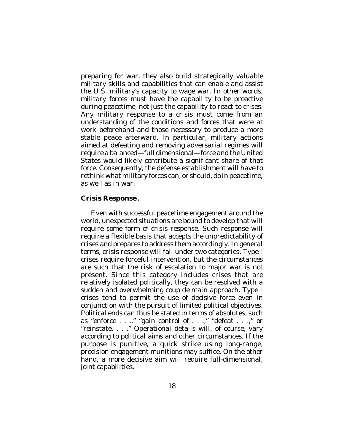preparing for war, they also build strategically valuable military skills and capabilities that can enable and assist the U.S. military's capacity to wage war. In other words, military forces must have the capability to be proactive during peacetime, not just the capability to react to crises. Any military response to a crisis must come from an understanding of the conditions and forces that were at work beforehand and those necessary to produce a more stable peace afterward. In particular, military actions aimed at defeating and removing adversarial regimes will require a balanced—full dimensional—force and the United States would likely contribute a significant share of that force. Consequently, the defense establishment will have to rethink what military forces can, or should, do in peacetime, as well as in war.

## **Crisis Response.**

Even with successful peacetime engagement around the world, unexpected situations are bound to develop that will require some form of crisis response. Such response will require a flexible basis that accepts the unpredictability of crises and prepares to address them accordingly. In general terms, crisis response will fall under two categories. Type I crises require forceful intervention, but the circumstances are such that the risk of escalation to major war is not present. Since this category includes crises that are relatively isolated politically, they can be resolved with a sudden and overwhelming *coup de main* approach. Type I crises tend to permit the use of decisive force even in conjunction with the pursuit of limited political objectives. Political ends can thus be stated in terms of absolutes, such as "enforce . . .," "gain control of . . .," "defeat . . .," or "reinstate. . . ." Operational details will, of course, vary according to political aims and other circumstances. If the purpose is punitive, a quick strike using long-range, precision engagement munitions may suffice. On the other hand, a more decisive aim will require full-dimensional, joint capabilities.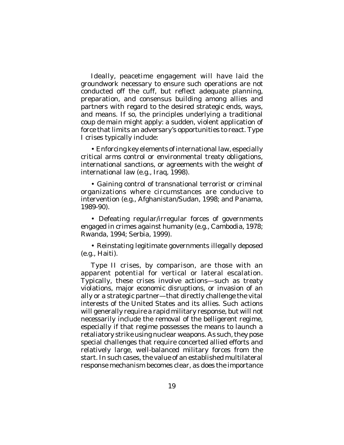Ideally, peacetime engagement will have laid the groundwork necessary to ensure such operations are not conducted off the cuff, but reflect adequate planning, preparation, and consensus building among allies and partners with regard to the desired strategic ends, ways, and means. If so, the principles underlying a traditional *coup de main* might apply: a sudden, violent application of force that limits an adversary's opportunities to react. Type I crises typically include:

• Enforcing key elements of international law, especially critical arms control or environmental treaty obligations, international sanctions, or agreements with the weight of international law (e.g., Iraq, 1998).

• Gaining control of transnational terrorist or criminal organizations where circumstances are conducive to intervention (e.g., Afghanistan/Sudan, 1998; and Panama, 1989-90).

• Defeating regular/irregular forces of governments engaged in crimes against humanity (e.g., Cambodia, 1978; Rwanda, 1994; Serbia, 1999).

• Reinstating legitimate governments illegally deposed (e.g., Haiti).

Type II crises, by comparison, are those with an apparent potential for vertical or lateral escalation. Typically, these crises involve actions—such as treaty violations, major economic disruptions, or invasion of an ally or a strategic partner—that directly challenge the vital interests of the United States and its allies. Such actions will generally require a rapid military response, but will not necessarily include the removal of the belligerent regime, especially if that regime possesses the means to launch a retaliatory strike using nuclear weapons. As such, they pose special challenges that require concerted allied efforts and relatively large, well-balanced military forces from the start. In such cases, the value of an established multilateral response mechanism becomes clear, as does the importance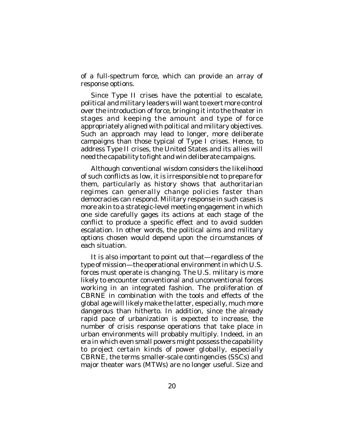of a full-spectrum force, which can provide an array of response options.

Since Type II crises have the potential to escalate, political and military leaders will want to exert more control over the introduction of force, bringing it into the theater in stages and keeping the amount and type of force appropriately aligned with political and military objectives. Such an approach may lead to longer, more deliberate campaigns than those typical of Type I crises. Hence, to address Type II crises, the United States and its allies will need the capability to fight and win deliberate campaigns.

Although conventional wisdom considers the likelihood of such conflicts as low, it is irresponsible not to prepare for them, particularly as history shows that authoritarian regimes can generally change policies faster than democracies can respond. Military response in such cases is more akin to a strategic-level meeting engagement in which one side carefully gages its actions at each stage of the conflict to produce a specific effect and to avoid sudden escalation. In other words, the political aims and military options chosen would depend upon the circumstances of each situation.

It is also important to point out that—regardless of the type of mission—the operational environment in which U.S. forces must operate is changing. The U.S. military is more likely to encounter conventional and unconventional forces working in an integrated fashion. The proliferation of CBRNE in combination with the tools and effects of the global age will likely make the latter, especially, much more dangerous than hitherto. In addition, since the already rapid pace of urbanization is expected to increase, the number of crisis response operations that take place in urban environments will probably multiply. Indeed, in an era in which even small powers might possess the capability to project certain kinds of power globally, especially CBRNE, the terms smaller-scale contingencies (SSCs) and major theater wars (MTWs) are no longer useful. Size and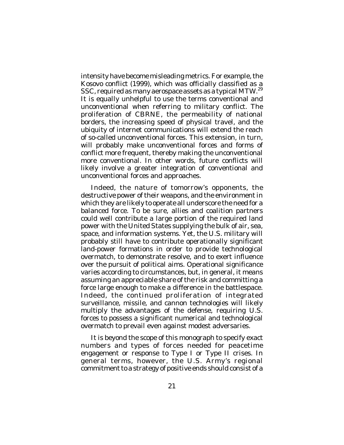intensity have become misleading metrics. For example, the Kosovo conflict (1999), which was officially classified as a SSC, required as many aerospace assets as a typical MTW.<sup>29</sup> It is equally unhelpful to use the terms conventional and unconventional when referring to military conflict. The proliferation of CBRNE, the permeability of national borders, the increasing speed of physical travel, and the ubiquity of internet communications will extend the reach of so-called unconventional forces. This extension, in turn, will probably make unconventional forces and forms of conflict more frequent, thereby making the unconventional more conventional. In other words, future conflicts will likely involve a greater integration of conventional and unconventional forces and approaches.

Indeed, the nature of tomorrow's opponents, the destructive power of their weapons, and the environment in which they are likely to operate all underscore the need for a balanced force. To be sure, allies and coalition partners could well contribute a large portion of the required land power with the United States supplying the bulk of air, sea, space, and information systems. Yet, the U.S. military will probably still have to contribute operationally significant land-power formations in order to provide technological overmatch, to demonstrate resolve, and to exert influence over the pursuit of political aims. Operational significance varies according to circumstances, but, in general, it means assuming an appreciable share of the risk and committing a force large enough to make a difference in the battlespace. Indeed, the continued proliferation of integrated surveillance, missile, and cannon technologies will likely multiply the advantages of the defense, requiring U.S. forces to possess a significant numerical and technological overmatch to prevail even against modest adversaries.

It is beyond the scope of this monograph to specify exact numbers and types of forces needed for peacetime engagement or response to Type I or Type II crises. In general terms, however, the U.S. Army's regional commitment to a strategy of positive ends should consist of a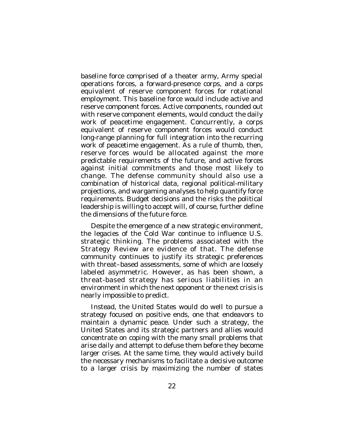baseline force comprised of a theater army, Army special operations forces, a forward-presence corps, and a corps equivalent of reserve component forces for rotational employment. This baseline force would include active and reserve component forces. Active components, rounded out with reserve component elements, would conduct the daily work of peacetime engagement. Concurrently, a corps equivalent of reserve component forces would conduct long-range planning for full integration into the recurring work of peacetime engagement. As a rule of thumb, then, reserve forces would be allocated against the more predictable requirements of the future, and active forces against initial commitments and those most likely to change. The defense community should also use a combination of historical data, regional political-military projections, and wargaming analyses to help quantify force requirements. Budget decisions and the risks the political leadership is willing to accept will, of course, further define the dimensions of the future force.

Despite the emergence of a new strategic environment, the legacies of the Cold War continue to influence U.S. strategic thinking. The problems associated with the Strategy Review are evidence of that. The defense community continues to justify its strategic preferences with threat–based assessments, some of which are loosely labeled asymmetric. However, as has been shown, a threat-based strategy has serious liabilities in an environment in which the next opponent or the next crisis is nearly impossible to predict.

Instead, the United States would do well to pursue a strategy focused on positive ends, one that endeavors to maintain a dynamic peace. Under such a strategy, the United States and its strategic partners and allies would concentrate on coping with the many small problems that arise daily and attempt to defuse them before they become larger crises. At the same time, they would actively build the necessary mechanisms to facilitate a decisive outcome to a larger crisis by maximizing the number of states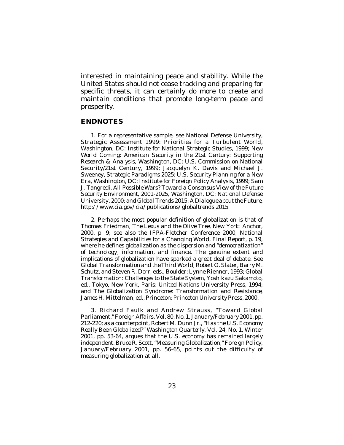interested in maintaining peace and stability. While the United States should not cease tracking and preparing for specific threats, it can certainly do more to create and maintain conditions that promote long-term peace and prosperity.

### **ENDNOTES**

1. For a representative sample, see National Defense University, *Strategic Assessment 1999: Priorities for a Turbulent World*, Washington, DC: Institute for National Strategic Studies, 1999; *New World Coming: American Security in the 21st Century: Supporting Research & Analysis*, Washington, DC: U.S. Commission on National Security/21st Century, 1999; Jacquelyn K. Davis and Michael J. Sweeney, *Strategic Paradigms 2025: U.S. Security Planning for a New Era*, Washington, DC: Institute for Foreign Policy Analysis, 1999; Sam J. Tangredi, *All Possible Wars? Toward a Consensus View of the Future Security Environment, 2001-2025*, Washington, DC: National Defense University, 2000; and *Global Trends 2015: A Dialogue about the Future*, *http://www.cia.gov/cia/publications/globaltrends 2015*.

2. Perhaps the most popular definition of globalization is that of Thomas Friedman, *The Lexus and the Olive Tree*, New York: Anchor, 2000, p. 9; see also the IFPA-Fletcher Conference 2000, *National Strategies and Capabilities for a Changing World*, Final Report, p. 19, where he defines globalization as the dispersion and "democratization" of technology, information, and finance. The genuine extent and implications of globalization have sparked a great deal of debate. See *Global Transformation and the Third World*, Robert O. Slater, Barry M. Schutz, and Steven R. Dorr, eds., Boulder: Lynne Rienner, 1993; *Global Transformation: Challenges to the State System*, Yoshikazu Sakamoto, ed., Tokyo, New York, Paris: United Nations University Press, 1994; and *The Globalization Syndrome: Transformation and Resistance*, James H. Mittelman, ed., Princeton: Princeton University Press, 2000.

3. Richard Faulk and Andrew Strauss, "Toward Global Parliament," *Foreign Affairs*, Vol. 80, No. 1, January/February 2001, pp. 212-220; as a counterpoint, Robert M. Dunn Jr., "Has the U.S. Economy *Really* Been Globalized?" *Washington Quarterly*, Vol. 24, No. 1, Winter 2001, pp. 53-64, argues that the U.S. economy has remained largely independent. Bruce R. Scott, "Measuring Globalization,"*Foreign Policy*, January/February 2001, pp. 56-65, points out the difficulty of measuring globalization at all.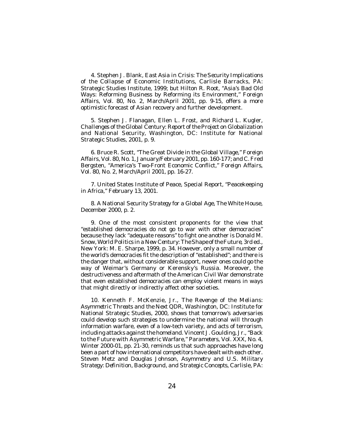4. Stephen J. Blank, *East Asia in Crisis: The Security Implications of the Collapse of Economic Institutions*, Carlisle Barracks, PA: Strategic Studies Institute, 1999; but Hilton R. Root, "Asia's Bad Old Ways: Reforming Business by Reforming its Environment," *Foreign Affairs*, Vol. 80, No. 2, March/April 2001, pp. 9-15, offers a more optimistic forecast of Asian recovery and further development.

5. Stephen J. Flanagan, Ellen L. Frost, and Richard L. Kugler, *Challenges of the Global Century: Report of the Project on Globalization and National Security*, Washington, DC: Institute for National Strategic Studies, 2001, p. 9.

6. Bruce R. Scott, "The Great Divide in the Global Village," *Foreign Affairs*, Vol. 80, No. 1, January/February 2001, pp. 160-177; and C. Fred Bergsten, "America's Two-Front Economic Conflict," *Foreign Affairs*, Vol. 80, No. 2, March/April 2001, pp. 16-27.

7. United States Institute of Peace, Special Report, "Peacekeeping in Africa," February 13, 2001.

8. *A National Security Strategy for a Global Age*, The White House, December 2000, p. 2.

9. One of the most consistent proponents for the view that "established democracies do not go to war with other democracies" because they lack "adequate reasons" to fight one another is Donald M. Snow, *World Politics in a New Century: The Shape of the Future*, 3rd ed., New York: M. E. Sharpe, 1999, p. 34. However, only a small number of the world's democracies fit the description of "established"; and there is the danger that, without considerable support, newer ones could go the way of Weimar's Germany or Kerensky's Russia. Moreover, the destructiveness and aftermath of the American Civil War demonstrate that even established democracies can employ violent means in ways that might directly or indirectly affect other societies.

10. Kenneth F. McKenzie, Jr., *The Revenge of the Melians: Asymmetric Threats and the Next QDR*, Washington, DC: Institute for National Strategic Studies, 2000, shows that tomorrow's adversaries could develop such strategies to undermine the national will through information warfare, even of a low-tech variety, and acts of terrorism, including attacks against the homeland. Vincent J. Goulding, Jr., "Back to the Future with Asymmetric Warfare," *Parameters*, Vol. XXX, No. 4, Winter 2000-01, pp. 21-30, reminds us that such approaches have long been a part of how international competitors have dealt with each other. Steven Metz and Douglas Johnson, *Asymmetry and U.S. Military Strategy: Definition, Background, and Strategic Concepts*, Carlisle, PA: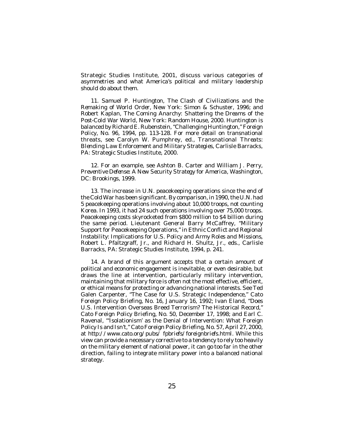Strategic Studies Institute, 2001, discuss various categories of asymmetries and what America's political and military leadership should do about them.

11. Samuel P. Huntington, *The Clash of Civilizations and the Remaking of World Order*, New York: Simon & Schuster, 1996; and Robert Kaplan, *The Coming Anarchy: Shattering the Dreams of the Post-Cold War World*, New York: Random House, 2000. Huntington is balanced by Richard E. Rubenstein, "Challenging Huntington," *Foreign Policy*, No. 96, 1994, pp. 113-128. For more detail on transnational threats, see Carolyn W. Pumphrey, ed., *Transnational Threats: Blending Law Enforcement and Military Strategies*, Carlisle Barracks, PA: Strategic Studies Institute, 2000.

12. For an example, see Ashton B. Carter and William J. Perry, *Preventive Defense: A New Security Strategy for America*, Washington, DC: Brookings, 1999.

13. The increase in U.N. peacekeeping operations since the end of the Cold War has been significant. By comparison, in 1990, the U.N. had 5 peacekeeping operations involving about 10,000 troops, not counting Korea. In 1993, it had 24 such operations involving over 75,000 troops. Peacekeeping costs skyrocketed from \$800 million to \$4 billion during the same period. Lieutenant General Barry McCaffrey, "Military Support for Peacekeeping Operations," in *Ethnic Conflict and Regional Instability: Implications for U.S. Policy and Army Roles and Missions*, Robert L. Pfaltzgraff, Jr., and Richard H. Shultz, Jr., eds., Carlisle Barracks, PA: Strategic Studies Institute, 1994, p. 241.

14. A brand of this argument accepts that a certain amount of political and economic engagement is inevitable, or even desirable, but draws the line at intervention, particularly military intervention, maintaining that military force is often not the most effective, efficient, or ethical means for protecting or advancing national interests. See Ted Galen Carpenter, "The Case for U.S. Strategic Independence," Cato Foreign Policy Briefing, No. 16, January 16, 1992; Ivan Eland, "Does U.S. Intervention Overseas Breed Terrorism? The Historical Record," Cato Foreign Policy Briefing, No. 50, December 17, 1998; and Earl C. Ravenal, "'Isolationism' as the Denial of Intervention: What Foreign Policy Is and Isn't," Cato Foreign Policy Briefing, No. 57, April 27, 2000, at *http://www.cato.org/pubs/ fpbriefs/foreignbriefs.html*. While this view can provide a necessary corrective to a tendency to rely too heavily on the military element of national power, it can go too far in the other direction, failing to integrate military power into a balanced national strategy.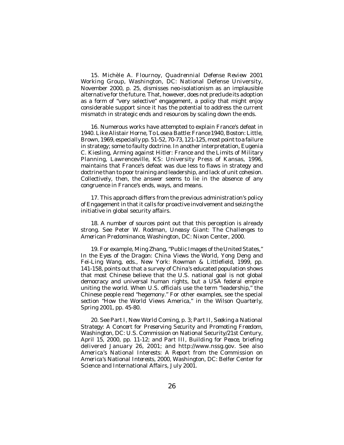15. Michèle A. Flournoy, *Quadrennial Defense Review 2001 Working Group*, Washington, DC: National Defense University, November 2000, p. 25, dismisses neo-isolationism as an implausible alternative for the future. That, however, does not preclude its adoption as a form of "very selective" engagement, a policy that might enjoy considerable support since it has the potential to address the current mismatch in strategic ends and resources by scaling down the ends.

16. Numerous works have attempted to explain France's defeat in 1940. Like Alistair Horne, *To Lose a Battle: France 1940*, Boston: Little, Brown, 1969, especially pp. 51-52, 70-73, 121-125, most point to a failure in strategy; some to faulty doctrine. In another interpretation, Eugenia C. Kiesling, *Arming against Hitler: France and the Limits of Military Planning,* Lawrenceville, KS: University Press of Kansas, 1996, maintains that France's defeat was due less to flaws in strategy and doctrine than to poor training and leadership, and lack of unit cohesion. Collectively, then, the answer seems to lie in the absence of any congruence in France's ends, ways, and means.

17. This approach differs from the previous administration's policy of Engagement in that it calls for proactive involvement and seizing the initiative in global security affairs.

18. A number of sources point out that this perception is already strong. See Peter W. Rodman, *Uneasy Giant: The Challenges to American Predominance*, Washington, DC: Nixon Center, 2000.

19. For example, Ming Zhang, "Public Images of the United States," *In the Eyes of the Dragon: China Views the World*, Yong Deng and Fei-Ling Wang, eds., New York: Rowman & Littlefield, 1999, pp. 141-158, points out that a survey of China's educated population shows that most Chinese believe that the U.S. national goal is not global democracy and universal human rights, but a USA federal empire uniting the world. When U.S. officials use the term "leadership," the Chinese people read "hegemony." For other examples, see the special section "How the World Views America," in the *Wilson Quarterly*, Spring 2001, pp. 45-80.

20. See Part I, *New World Coming*, p. 3; Part II, *Seeking a National Strategy: A Concert for Preserving Security and Promoting Freedom*, Washington, DC: U.S. Commission on National Security/21st Century, April 15, 2000, pp. 11-12; and Part III, *Building for Peace*, briefing delivered January 26, 2001; and http://www.nssg.gov. See also *America's National Interests: A Report from the Commission on America's National Interests, 2000*, Washington, DC: Belfer Center for Science and International Affairs, July 2001.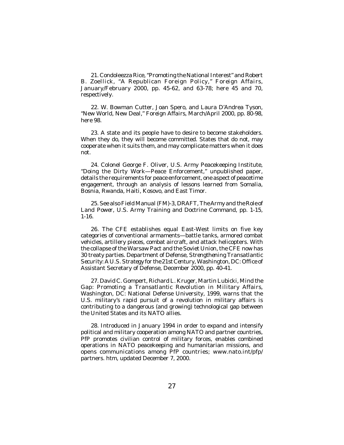21. Condoleezza Rice, "Promoting the National Interest" and Robert B. Zoellick, "A Republican Foreign Policy," *Foreign Affairs*, January/February 2000, pp. 45-62, and 63-78; here 45 and 70, respectively.

22. W. Bowman Cutter, Joan Spero, and Laura D'Andrea Tyson, "New World, New Deal," *Foreign Affairs*, March/April 2000, pp. 80-98, here 98.

23. A state and its people have to desire to become stakeholders. When they do, they will become committed. States that do not, may cooperate when it suits them, and may complicate matters when it does not.

24. Colonel George F. Oliver, U.S. Army Peacekeeping Institute, "Doing the Dirty Work—Peace Enforcement," unpublished paper, details the requirements for peace enforcement, one aspect of peacetime engagement, through an analysis of lessons learned from Somalia, Bosnia, Rwanda, Haiti, Kosovo, and East Timor.

25. See also Field Manual (FM)-3, DRAFT, *The Army and the Role of Land Power*, U.S. Army Training and Doctrine Command, pp. 1-15, 1-16.

26. The CFE establishes equal East-West limits on five key categories of conventional armaments—battle tanks, armored combat vehicles, artillery pieces, combat aircraft, and attack helicopters. With the collapse of the Warsaw Pact and the Soviet Union, the CFE now has 30 treaty parties. Department of Defense, *Strengthening Transatlantic Security: A U.S. Strategy for the 21st Century*, Washington, DC: Office of Assistant Secretary of Defense, December 2000, pp. 40-41.

27. David C. Gompert, Richard L. Kruger, Martin Lubicki, *Mind the Gap: Promoting a Transatlantic Revolution in Military Affairs*, Washington, DC: National Defense University, 1999, warns that the U.S. military's rapid pursuit of a revolution in military affairs is contributing to a dangerous (and growing) technological gap between the United States and its NATO allies.

28. Introduced in January 1994 in order to expand and intensify political and military cooperation among NATO and partner countries, PfP promotes civilian control of military forces, enables combined operations in NATO peacekeeping and humanitarian missions, and opens communications among PfP countries; www.nato.int/pfp/ partners. htm, updated December 7, 2000.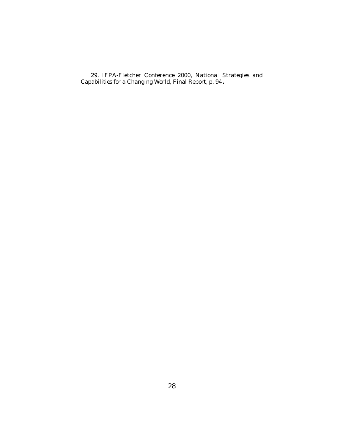29. IFPA-Fletcher Conference 2000, *National Strategies and Capabilities for a Changing World*, Final Report, p. 94.